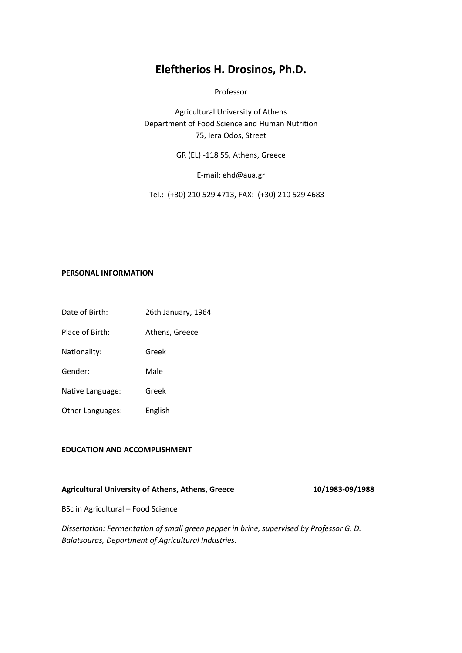# **Eleftherios H. Drosinos, Ph.D.**

Professor

Agricultural University of Athens Department of Food Science and Human Nutrition 75, Iera Odos, Street

GR (EL) -118 55, Athens, Greece

E-mail: ehd@aua.gr

Tel.: (+30) 210 529 4713, FAX: (+30) 210 529 4683

## **PERSONAL INFORMATION**

- Date of Birth: 26th January, 1964
- Place of Birth: Athens, Greece

Nationality: Greek

Gender: Male

Native Language: Greek

Other Languages: English

## **EDUCATION AND ACCOMPLISHMENT**

# **Agricultural University of Athens, Athens, Greece 10/1983-09/1988**

BSc in Agricultural – Food Science

*Dissertation: Fermentation of small green pepper in brine, supervised by Professor G. D. Balatsouras, Department of Agricultural Industries.*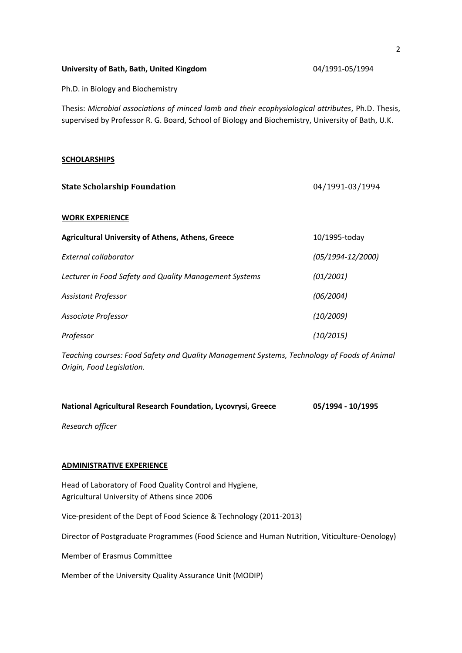| University of Bath, Bath, United Kingdom |  |  |
|------------------------------------------|--|--|
|                                          |  |  |

Ph.D. in Biology and Biochemistry

Thesis: *Microbial associations of minced lamb and their ecophysiological attributes*, Ph.D. Thesis, supervised by Professor R. G. Board, School of Biology and Biochemistry, University of Bath, U.K.

#### **SCHOLARSHIPS**

| <b>State Scholarship Foundation</b>                      | 04/1991-03/1994       |  |
|----------------------------------------------------------|-----------------------|--|
| <b>WORK EXPERIENCE</b>                                   |                       |  |
| <b>Agricultural University of Athens, Athens, Greece</b> | 10/1995-today         |  |
| External collaborator                                    | $(05/1994 - 12/2000)$ |  |
| Lecturer in Food Safety and Quality Management Systems   | (01/2001)             |  |
| <b>Assistant Professor</b>                               | (06/2004)             |  |
| Associate Professor                                      | (10/2009)             |  |
| Professor                                                | (10/2015)             |  |

*Teaching courses: Food Safety and Quality Management Systems, Technology of Foods of Animal Origin, Food Legislation.*

| National Agricultural Research Foundation, Lycovrysi, Greece | 05/1994 - 10/1995 |
|--------------------------------------------------------------|-------------------|
|--------------------------------------------------------------|-------------------|

*Research officer* 

# **ADMINISTRATIVE EXPERIENCE**

Head of Laboratory of Food Quality Control and Hygiene, Agricultural University of Athens since 2006

Vice-president of the Dept of Food Science & Technology (2011-2013)

Director of Postgraduate Programmes (Food Science and Human Nutrition, Viticulture-Oenology)

Member of Erasmus Committee

Member of the University Quality Assurance Unit (MODIP)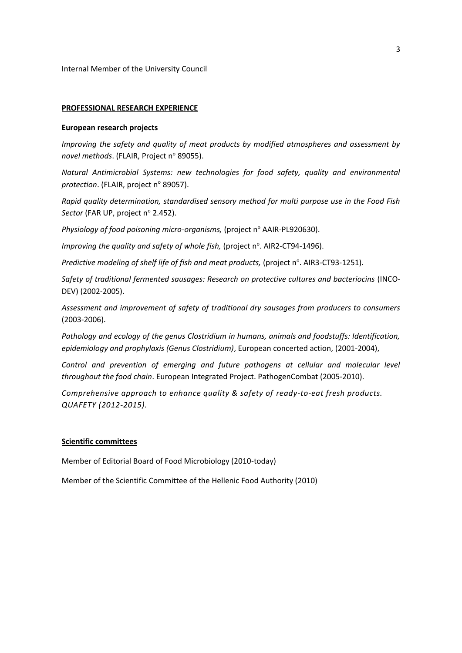Internal Member of the University Council

## **PROFESSIONAL RESEARCH EXPERIENCE**

#### **European research projects**

*Improving the safety and quality of meat products by modified atmospheres and assessment by*  novel methods. (FLAIR, Project nº 89055).

*Natural Antimicrobial Systems: new technologies for food safety, quality and environmental protection.* (FLAIR, project n° 89057).

*Rapid quality determination, standardised sensory method for multi purpose use in the Food Fish Sector* (FAR UP, project nº 2.452).

*Physiology of food poisoning micro-organisms, (project n<sup>o</sup> AAIR-PL920630).* 

Improving the quality and safety of whole fish, (project n°. AIR2-CT94-1496).

Predictive modeling of shelf life of fish and meat products, (project n°. AIR3-CT93-1251).

*Safety of traditional fermented sausages: Research on protective cultures and bacteriocins* (INCO-DEV) (2002-2005).

*Assessment and improvement of safety of traditional dry sausages from producers to consumers*  (2003-2006).

*Pathology and ecology of the genus Clostridium in humans, animals and foodstuffs: Identification, epidemiology and prophylaxis (Genus Clostridium)*, European concerted action, (2001-2004),

*Control and prevention of emerging and future pathogens at cellular and molecular level throughout the food chain*. European Integrated Project. PathogenCombat (2005-2010).

*Comprehensive approach to enhance quality & safety of ready-to-eat fresh products. QUAFETY (2012-2015).*

# **Scientific committees**

Member of Editorial Board of Food Microbiology (2010-today)

Member of the Scientific Committee of the Hellenic Food Authority (2010)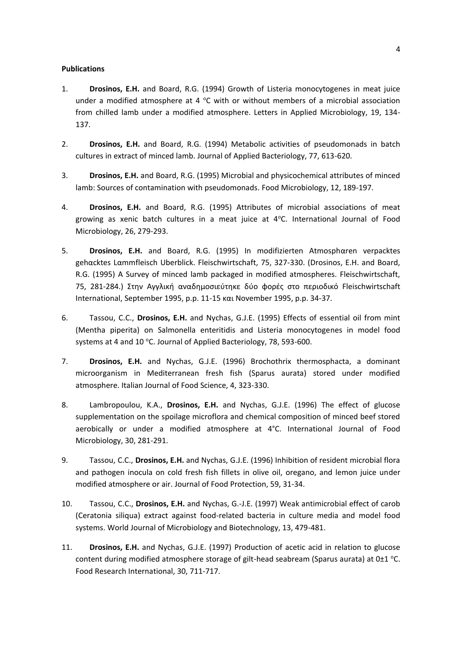## **Publications**

- 1. **Drosinos, E.H.** and Board, R.G. (1994) Growth of Listeria monocytogenes in meat juice under a modified atmosphere at 4  $\degree$ C with or without members of a microbial association from chilled lamb under a modified atmosphere. Letters in Applied Microbiology, 19, 134- 137.
- 2. **Drosinos, E.H.** and Board, R.G. (1994) Metabolic activities of pseudomonads in batch cultures in extract of minced lamb. Journal of Applied Bacteriology, 77, 613-620.
- 3. **Drosinos, E.H.** and Board, R.G. (1995) Microbial and physicochemical attributes of minced lamb: Sources of contamination with pseudomonads. Food Microbiology, 12, 189-197.
- 4. **Drosinos, E.H.** and Board, R.G. (1995) Attributes of microbial associations of meat growing as xenic batch cultures in a meat juice at  $4^{\circ}$ C. International Journal of Food Microbiology, 26, 279-293.
- 5. **Drosinos, E.H.** and Board, R.G. (1995) In modifizierten Atmosphαren verpacktes gehαcktes Lαmmfleisch Uberblick. Fleischwirtschaft, 75, 327-330. (Drosinos, E.H. and Board, R.G. (1995) A Survey of minced lamb packaged in modified atmospheres. Fleischwirtschaft, 75, 281-284.) Στην Αγγλική αναδημοσιεύτηκε δύο φορές στο περιοδικό Fleischwirtschaft International, September 1995, p.p. 11-15 και November 1995, p.p. 34-37.
- 6. Tassou, C.C., **Drosinos, E.H.** and Nychas, G.J.E. (1995) Effects of essential oil from mint (Mentha piperita) on Salmonella enteritidis and Listeria monocytogenes in model food systems at 4 and 10 °C. Journal of Applied Bacteriology, 78, 593-600.
- 7. **Drosinos, E.H.** and Nychas, G.J.E. (1996) Brochothrix thermosphacta, a dominant microorganism in Mediterranean fresh fish (Sparus aurata) stored under modified atmosphere. Italian Journal of Food Science, 4, 323-330.
- 8. Lambropoulou, K.A., **Drosinos, E.H.** and Nychas, G.J.E. (1996) The effect of glucose supplementation on the spoilage microflora and chemical composition of minced beef stored aerobically or under a modified atmosphere at 4°C. International Journal of Food Microbiology, 30, 281-291.
- 9. Tassou, C.C., **Drosinos, E.H.** and Nychas, G.J.E. (1996) Inhibition of resident microbial flora and pathogen inocula on cold fresh fish fillets in olive oil, oregano, and lemon juice under modified atmosphere or air. Journal of Food Protection, 59, 31-34.
- 10. Tassou, C.C., **Drosinos, E.H.** and Nychas, G.-J.E. (1997) Weak antimicrobial effect of carob (Ceratonia siliqua) extract against food-related bacteria in culture media and model food systems. World Journal of Microbiology and Biotechnology, 13, 479-481.
- 11. **Drosinos, E.H.** and Nychas, G.J.E. (1997) Production of acetic acid in relation to glucose content during modified atmosphere storage of gilt-head seabream (Sparus aurata) at  $0\pm1$  °C. Food Research International, 30, 711-717.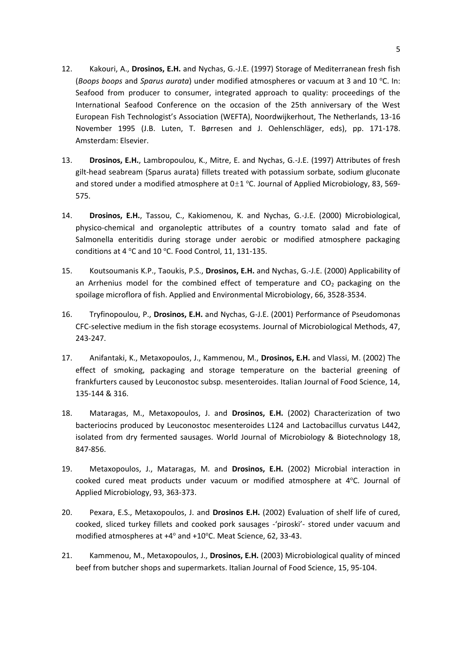- 12. Kakouri, A., **Drosinos, E.H.** and Nychas, G.-J.E. (1997) Storage of Mediterranean fresh fish (*Boops boops* and *Sparus aurata*) under modified atmospheres or vacuum at 3 and 10 °C. In: Seafood from producer to consumer, integrated approach to quality: proceedings of the International Seafood Conference on the occasion of the 25th anniversary of the West European Fish Technologist's Association (WEFTA), Noordwijkerhout, The Netherlands, 13-16 November 1995 (J.B. Luten, T. Børresen and J. Oehlenschläger, eds), pp. 171-178. Amsterdam: Elsevier.
- 13. **Drosinos, E.H.**, Lambropoulou, K., Mitre, E. and Nychas, G.-J.E. (1997) Attributes of fresh gilt-head seabream (Sparus aurata) fillets treated with potassium sorbate, sodium gluconate and stored under a modified atmosphere at  $0\pm 1$  °C. Journal of Applied Microbiology, 83, 569-575.
- 14. **Drosinos, E.H.**, Tassou, C., Kakiomenou, K. and Nychas, G.-J.E. (2000) Microbiological, physico-chemical and organoleptic attributes of a country tomato salad and fate of Salmonella enteritidis during storage under aerobic or modified atmosphere packaging conditions at 4  $^{\circ}$ C and 10  $^{\circ}$ C. Food Control, 11, 131-135.
- 15. Koutsoumanis K.P., Taoukis, P.S., **Drosinos, E.H.** and Nychas, G.-J.E. (2000) Applicability of an Arrhenius model for the combined effect of temperature and  $CO<sub>2</sub>$  packaging on the spoilage microflora of fish. Applied and Environmental Microbiology, 66, 3528-3534.
- 16. Tryfinopoulou, P., **Drosinos, E.H.** and Nychas, G-J.E. (2001) Performance of Pseudomonas CFC-selective medium in the fish storage ecosystems. Journal of Microbiological Methods, 47, 243-247.
- 17. Anifantaki, K., Metaxopoulos, J., Kammenou, M., **Drosinos, E.H.** and Vlassi, M. (2002) The effect of smoking, packaging and storage temperature on the bacterial greening of frankfurters caused by Leuconostoc subsp. mesenteroides. Italian Journal of Food Science, 14, 135-144 & 316.
- 18. Mataragas, M., Metaxopoulos, J. and **Drosinos, E.H.** (2002) Characterization of two bacteriocins produced by Leuconostoc mesenteroides L124 and Lactobacillus curvatus L442, isolated from dry fermented sausages. World Journal of Microbiology & Biotechnology 18, 847-856.
- 19. Metaxopoulos, J., Mataragas, M. and **Drosinos, E.H.** (2002) Microbial interaction in cooked cured meat products under vacuum or modified atmosphere at  $4^{\circ}$ C. Journal of Applied Microbiology, 93, 363-373.
- 20. Pexara, E.S., Metaxopoulos, J. and **Drosinos E.H.** (2002) Evaluation of shelf life of cured, cooked, sliced turkey fillets and cooked pork sausages -'piroski'- stored under vacuum and modified atmospheres at +4° and +10°C. Meat Science, 62, 33-43.
- 21. Kammenou, M., Metaxopoulos, J., **Drosinos, E.H.** (2003) Microbiological quality of minced beef from butcher shops and supermarkets. Italian Journal of Food Science, 15, 95-104.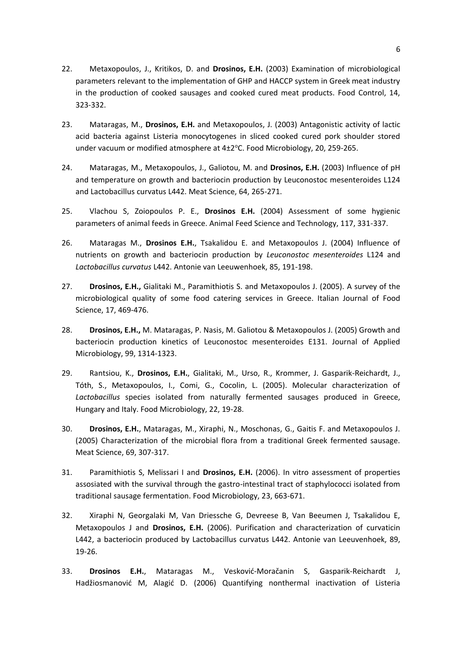- 22. Metaxopoulos, J., Kritikos, D. and **Drosinos, E.H.** (2003) Examination of microbiological parameters relevant to the implementation of GHP and HACCP system in Greek meat industry in the production of cooked sausages and cooked cured meat products. Food Control, 14, 323-332.
- 23. Mataragas, M., **Drosinos, E.H.** and Metaxopoulos, J. (2003) Antagonistic activity of lactic acid bacteria against Listeria monocytogenes in sliced cooked cured pork shoulder stored under vacuum or modified atmosphere at 4±2°C. Food Microbiology, 20, 259-265.
- 24. Mataragas, M., Metaxopoulos, J., Galiotou, M. and **Drosinos, E.H.** (2003) Influence of pH and temperature on growth and bacteriocin production by Leuconostoc mesenteroides L124 and Lactobacillus curvatus L442. Meat Science, 64, 265-271.
- 25. Vlachou S, Zoiopoulos P. E., **Drosinos E.H.** (2004) Assessment of some hygienic parameters of animal feeds in Greece. Animal Feed Science and Technology, 117, 331-337.
- 26. Mataragas M., **Drosinos E.H.**, Tsakalidou E. and Metaxopoulos J. (2004) Influence of nutrients on growth and bacteriocin production by *Leuconostoc mesenteroides* L124 and *Lactobacillus curvatus* L442. Antonie van Leeuwenhoek, 85, 191-198.
- 27. **Drosinos, E.H.,** Gialitaki M., Paramithiotis S. and Metaxopoulos J. (2005). A survey of the microbiological quality of some food catering services in Greece. Italian Journal of Food Science, 17, 469-476.
- 28. **Drosinos, E.H.,** M. Mataragas, P. Nasis, M. Galiotou & Metaxopoulos J. (2005) Growth and bacteriocin production kinetics of Leuconostoc mesenteroides E131. Journal of Applied Microbiology, 99, 1314-1323.
- 29. Rantsiou, K., **Drosinos, E.H.**, Gialitaki, M., Urso, R., Krommer, J. Gasparik-Reichardt, J., Tóth, S., Metaxopoulos, I., Comi, G., Cocolin, L. (2005). Molecular characterization of *Lactobacillus* species isolated from naturally fermented sausages produced in Greece, Hungary and Italy. Food Microbiology, 22, 19-28.
- 30. **Drosinos, E.H.**, Mataragas, M., Xiraphi, N., Moschonas, G., Gaitis F. and Metaxopoulos J. (2005) Characterization of the microbial flora from a traditional Greek fermented sausage. Meat Science, 69, 307-317.
- 31. Paramithiotis S, Melissari I and **Drosinos, E.H.** (2006). In vitro assessment of properties assosiated with the survival through the gastro-intestinal tract of staphylococci isolated from traditional sausage fermentation. Food Microbiology, 23, 663-671.
- 32. Xiraphi N, Georgalaki M, Van Driessche G, Devreese B, Van Beeumen J, Tsakalidou E, Metaxopoulos J and **Drosinos, E.H.** (2006). Purification and characterization of curvaticin L442, a bacteriocin produced by Lactobacillus curvatus L442. Antonie van Leeuvenhoek, 89, 19-26.
- 33. **Drosinos E.H.**, Mataragas M., Vesković-Moračanin S, Gasparik-Reichardt J, Hadžiosmanović M, Alagić D. (2006) Quantifying nonthermal inactivation of Listeria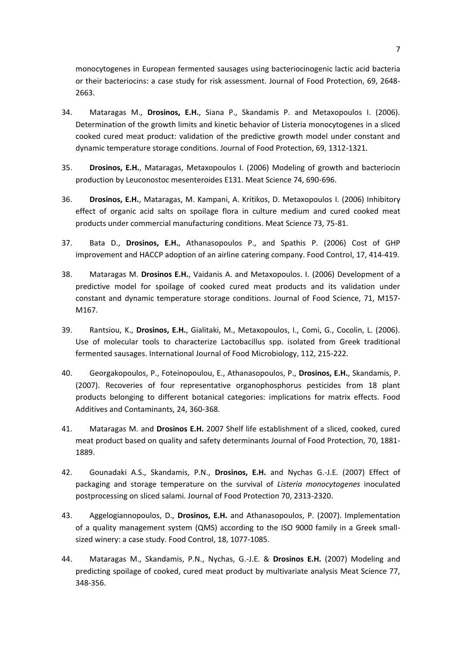monocytogenes in European fermented sausages using bacteriocinogenic lactic acid bacteria or their bacteriocins: a case study for risk assessment. Journal of Food Protection, 69, 2648- 2663.

- 34. Mataragas M., **Drosinos, E.H.**, Siana P., Skandamis P. and Metaxopoulos I. (2006). Determination of the growth limits and kinetic behavior of Listeria monocytogenes in a sliced cooked cured meat product: validation of the predictive growth model under constant and dynamic temperature storage conditions. Journal of Food Protection, 69, 1312-1321.
- 35. **Drosinos, E.H.**, Mataragas, Metaxopoulos I. (2006) Modeling of growth and bacteriocin production by Leuconostoc mesenteroides E131. Meat Science 74, 690-696.
- 36. **Drosinos, E.H.**, Mataragas, M. Kampani, A. Kritikos, D. Metaxopoulos I. (2006) Inhibitory effect of organic acid salts on spoilage flora in culture medium and cured cooked meat products under commercial manufacturing conditions. Meat Science 73, 75-81.
- 37. Bata D., **Drosinos, E.H.**, Athanasopoulos P., and Spathis P. (2006) Cost of GHP improvement and HACCP adoption of an airline catering company. Food Control, 17, 414-419.
- 38. Mataragas M. **Drosinos E.H.**, Vaidanis A. and Metaxopoulos. I. (2006) Development of a predictive model for spoilage of cooked cured meat products and its validation under constant and dynamic temperature storage conditions. Journal of Food Science, 71, M157- M167.
- 39. Rantsiou, K., **Drosinos, E.H.**, Gialitaki, M., Metaxopoulos, I., Comi, G., Cocolin, L. (2006). Use of molecular tools to characterize Lactobacillus spp. isolated from Greek traditional fermented sausages. International Journal of Food Microbiology, 112, 215-222.
- 40. Georgakopoulos, P., Foteinopoulou, E., Athanasopoulos, P., **Drosinos, E.Η.**, Skandamis, P. (2007). Recoveries of four representative organophosphorus pesticides from 18 plant products belonging to different botanical categories: implications for matrix effects. Food Additives and Contaminants, 24, 360-368.
- 41. Mataragas M. and **Drosinos E.H.** 2007 Shelf life establishment of a sliced, cooked, cured meat product based on quality and safety determinants Journal of Food Protection, 70, 1881- 1889.
- 42. Gounadaki A.S., Skandamis, P.N., **Drosinos, E.H.** and Nychas G.-J.E. (2007) Effect of packaging and storage temperature on the survival of *Listeria monocytogenes* inoculated postprocessing on sliced salami. Journal of Food Protection 70, 2313-2320.
- 43. Aggelogiannopoulos, D., **Drosinos, E.H.** and Athanasopoulos, P. (2007). Implementation of a quality management system (QMS) according to the ISO 9000 family in a Greek smallsized winery: a case study. Food Control, 18, 1077-1085.
- 44. Mataragas M., Skandamis, P.N., Nychas, G.-J.E. & **Drosinos E.H.** (2007) Modeling and predicting spoilage of cooked, cured meat product by multivariate analysis Meat Science 77, 348-356.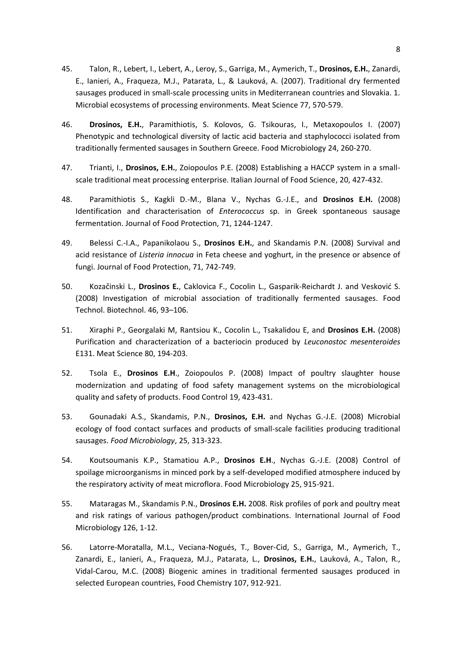- 45. Talon, R., Lebert, I., Lebert, A., Leroy, S., Garriga, M., Aymerich, T., **Drosinos, E.H.**, Zanardi, E., Ianieri, A., Fraqueza, M.J., Patarata, L., & Lauková, A. (2007). Traditional dry fermented sausages produced in small-scale processing units in Mediterranean countries and Slovakia. 1. Microbial ecosystems of processing environments. Meat Science 77, 570-579.
- 46. **Drosinos, E.H.**, Paramithiotis, S. Kolovos, G. Tsikouras, I., Metaxopoulos I. (2007) Phenotypic and technological diversity of lactic acid bacteria and staphylococci isolated from traditionally fermented sausages in Southern Greece. Food Microbiology 24, 260-270.
- 47. Trianti, I., **Drosinos, E.H.**, Zoiopoulos P.E. (2008) Establishing a HACCP system in a smallscale traditional meat processing enterprise. Italian Journal of Food Science, 20, 427-432.
- 48. Paramithiotis S., Kagkli D.-M., Blana V., Nychas G.-J.E., and **Drosinos E.H.** (2008) Identification and characterisation of *Enterococcus* sp. in Greek spontaneous sausage fermentation. Journal of Food Protection, 71, 1244-1247.
- 49. Belessi C.-I.A., Papanikolaou S., **Drosinos E.H.**, and Skandamis P.N. (2008) Survival and acid resistance of *Listeria innocua* in Feta cheese and yoghurt, in the presence or absence of fungi. Journal of Food Protection, 71, 742-749.
- 50. Kozačinski L., **Drosinos E.**, Caklovica F., Cocolin L., Gasparik-Reichardt J. and Vesković S. (2008) Investigation of microbial association of traditionally fermented sausages. Food Technol. Biotechnol. 46, 93–106.
- 51. Xiraphi P., Georgalaki M, Rantsiou K., Cocolin L., Tsakalidou E, and **Drosinos E.H.** (2008) Purification and characterization of a bacteriocin produced by *Leuconostoc mesenteroides* E131. Meat Science 80, 194-203.
- 52. Tsola E., **Drosinos E.H**., Zoiopoulos P. (2008) Impact of poultry slaughter house modernization and updating of food safety management systems on the microbiological quality and safety of products. Food Control 19, 423-431.
- 53. Gounadaki A.S., Skandamis, P.N., **Drosinos, E.H.** and Nychas G.-J.E. (2008) Microbial ecology of food contact surfaces and products of small-scale facilities producing traditional sausages. *Food Microbiology*, 25, 313-323.
- 54. Koutsoumanis K.P., Stamatiou A.P., **Drosinos E.H**., Nychas G.-J.E. (2008) Control of spoilage microorganisms in minced pork by a self-developed modified atmosphere induced by the respiratory activity of meat microflora. Food Microbiology 25, 915-921.
- 55. Mataragas M., Skandamis P.N., **Drosinos E.H.** 2008. Risk profiles of pork and poultry meat and risk ratings of various pathogen/product combinations. International Journal of Food Microbiology 126, 1-12.
- 56. Latorre-Moratalla, M.L., Veciana-Nogués, T., Bover-Cid, S., Garriga, M., Aymerich, T., Zanardi, E., Ianieri, A., Fraqueza, M.J., Patarata, L., **Drosinos, E.H.**, Lauková, A., Talon, R., Vidal-Carou, M.C. (2008) Biogenic amines in traditional fermented sausages produced in selected European countries, Food Chemistry 107, 912-921.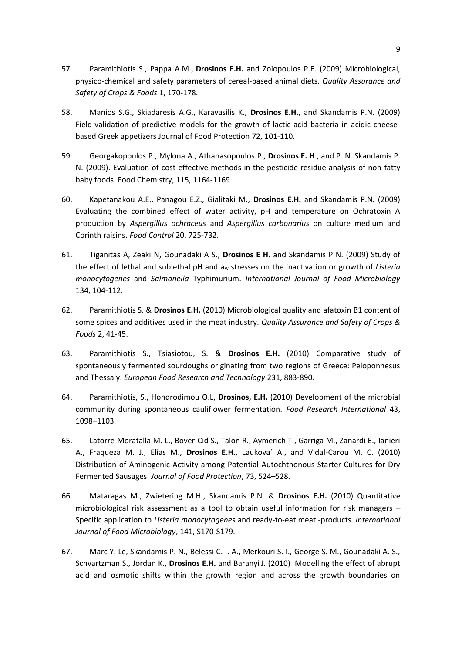- 57. Paramithiotis S., Pappa A.M., **Drosinos E.H.** and Zoiopoulos P.E. (2009) Microbiological, physico-chemical and safety parameters of cereal-based animal diets. *Quality Assurance and Safety of Crops & Foods* 1, 170-178.
- 58. Manios S.G., Skiadaresis A.G., Karavasilis K., **Drosinos E.H.**, and Skandamis P.N. (2009) Field-validation of predictive models for the growth of lactic acid bacteria in acidic cheesebased Greek appetizers Journal of Food Protection 72, 101-110.
- 59. Georgakopoulos P., Mylona A., Athanasopoulos P., **Drosinos E. H**., and P. N. Skandamis P. N. (2009). Evaluation of cost-effective methods in the pesticide residue analysis of non-fatty baby foods. Food Chemistry, 115, 1164-1169.
- 60. Kapetanakou A.E., Panagou E.Z., Gialitaki M., **Drosinos E.H.** and Skandamis P.N. (2009) Evaluating the combined effect of water activity, pH and temperature on Ochratoxin A production by *Aspergillus ochraceus* and *Aspergillus carbonarius* on culture medium and Corinth raisins. *Food Control* 20, 725-732.
- 61. Tiganitas A, Zeaki N, Gounadaki A S., **Drosinos E H.** and Skandamis P N. (2009) Study of the effect of lethal and sublethal pH and a<sup>w</sup> stresses on the inactivation or growth of *Listeria monocytogenes* and *Salmonella* Typhimurium. *International Journal of Food Microbiology* 134, 104-112.
- 62. Paramithiotis S. & **Drosinos E.H.** (2010) Microbiological quality and afatoxin B1 content of some spices and additives used in the meat industry. *Quality Assurance and Safety of Crops & Foods* 2, 41-45.
- 63. Paramithiotis S., Tsiasiotou, S. & **Drosinos E.H.** (2010) Comparative study of spontaneously fermented sourdoughs originating from two regions of Greece: Peloponnesus and Thessaly. *European Food Research and Technology* 231, 883-890.
- 64. Paramithiotis, S., Hondrodimou O.L, **Drosinos, E.H.** (2010) Development of the microbial community during spontaneous cauliflower fermentation. *Food Research International* 43, 1098–1103.
- 65. Latorre-Moratalla M. L., Bover-Cid S., Talon R., Aymerich T., Garriga M., Zanardi E., Ianieri A., Fraqueza M. J., Elias M., **Drosinos E.H.**, Laukova´ A., and Vidal-Carou M. C. (2010) Distribution of Aminogenic Activity among Potential Autochthonous Starter Cultures for Dry Fermented Sausages. *Journal of Food Protection*, 73, 524–528.
- 66. Mataragas M., Zwietering M.H., Skandamis P.N. & **Drosinos E.H.** (2010) Quantitative microbiological risk assessment as a tool to obtain useful information for risk managers – Specific application to *Listeria monocytogenes* and ready-to-eat meat -products. *International Journal of Food Microbiology*, 141, S170-S179.
- 67. Marc Y. Le, Skandamis P. N., Belessi C. I. A., Merkouri S. I., George S. M., Gounadaki A. S., Schvartzman S., Jordan K., **Drosinos E.H.** and Baranyi J. (2010) Modelling the effect of abrupt acid and osmotic shifts within the growth region and across the growth boundaries on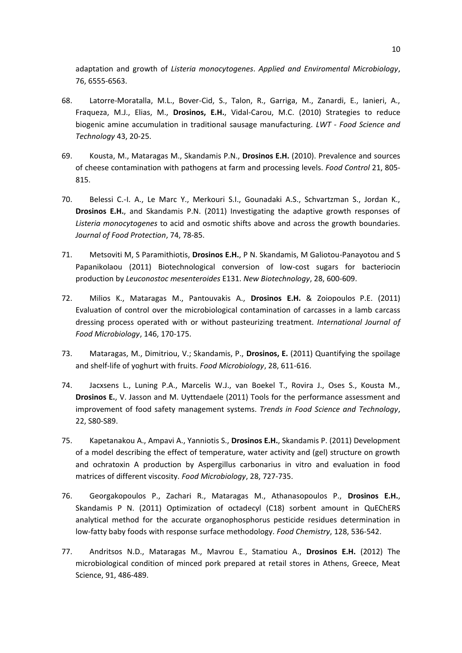adaptation and growth of *Listeria monocytogenes*. *Applied and Enviromental Microbiology*, 76, 6555-6563.

- 68. Latorre-Moratalla, M.L., Bover-Cid, S., Talon, R., Garriga, M., Zanardi, E., Ianieri, A., Fraqueza, M.J., Elias, M., **Drosinos, E.H.**, Vidal-Carou, M.C. (2010) Strategies to reduce biogenic amine accumulation in traditional sausage manufacturing. *LWT - Food Science and Technology* 43, 20-25.
- 69. Kousta, M., Mataragas M., Skandamis P.N., **Drosinos E.H.** (2010). Prevalence and sources of cheese contamination with pathogens at farm and processing levels. *Food Control* 21, 805- 815.
- 70. Belessi C.-I. A., Le Marc Y., Merkouri S.I., Gounadaki A.S., Schvartzman S., Jordan K., **Drosinos E.H.**, and Skandamis P.N. (2011) Investigating the adaptive growth responses of *Listeria monocytogenes* to acid and osmotic shifts above and across the growth boundaries. *Journal of Food Protection*, 74, 78-85.
- 71. Metsoviti M, S Paramithiotis, **Drosinos E.H.**, P N. Skandamis, M Galiotou-Panayotou and S Papanikolaou (2011) Biotechnological conversion of low-cost sugars for bacteriocin production by *Leuconostoc mesenteroides* E131. *New Biotechnology*, 28, 600-609.
- 72. Milios K., Mataragas M., Pantouvakis A., **Drosinos E.H.** & Zoiopoulos P.E. (2011) Evaluation of control over the microbiological contamination of carcasses in a lamb carcass dressing process operated with or without pasteurizing treatment. *International Journal of Food Microbiology*, 146, 170-175.
- 73. Mataragas, M., Dimitriou, V.; Skandamis, P., **Drosinos, E.** (2011) Quantifying the spoilage and shelf-life of yoghurt with fruits. *Food Microbiology*, 28, 611-616.
- 74. Jacxsens L., Luning P.A., Marcelis W.J., van Boekel T., Rovira J., Oses S., Kousta M., **Drosinos E.**, V. Jasson and M. Uyttendaele (2011) Tools for the performance assessment and improvement of food safety management systems. *Trends in Food Science and Technology*, 22, S80-S89.
- 75. Kapetanakou A., Ampavi A., Yanniotis S., **Drosinos E.H.**, Skandamis P. (2011) Development of a model describing the effect of temperature, water activity and (gel) structure on growth and ochratoxin A production by Aspergillus carbonarius in vitro and evaluation in food matrices of different viscosity. *Food Microbiology*, 28, 727-735.
- 76. Georgakopoulos P., Zachari R., Mataragas M., Athanasopoulos P., **Drosinos E.H.**, Skandamis P N. (2011) Optimization of octadecyl (C18) sorbent amount in QuEChERS analytical method for the accurate organophosphorus pesticide residues determination in low-fatty baby foods with response surface methodology. *Food Chemistry*, 128, 536-542.
- 77. Andritsos N.D., Mataragas M., Mavrou E., Stamatiou A., **Drosinos E.H.** (2012) The microbiological condition of minced pork prepared at retail stores in Athens, Greece, Meat Science, 91, 486-489.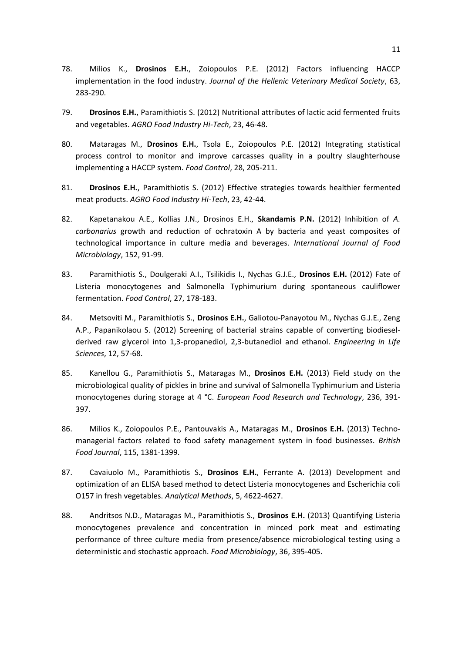- 78. Milios K., **Drosinos E.H.**, Zoiopoulos P.E. (2012) Factors influencing HACCP implementation in the food industry. *Journal of the Hellenic Veterinary Medical Society*, 63, 283-290.
- 79. **Drosinos E.H.**, Paramithiotis S. (2012) Nutritional attributes of lactic acid fermented fruits and vegetables. *AGRO Food Industry Hi-Tech*, 23, 46-48.
- 80. Mataragas M., **Drosinos E.H.**, Tsola E., Zoiopoulos P.E. (2012) Integrating statistical process control to monitor and improve carcasses quality in a poultry slaughterhouse implementing a HACCP system. *Food Control*, 28, 205-211.
- 81. **Drosinos E.H.**, Paramithiotis S. (2012) Effective strategies towards healthier fermented meat products. *AGRO Food Industry Hi-Tech*, 23, 42-44.
- 82. Kapetanakou A.E., Kollias J.N., Drosinos E.H., **Skandamis P.N.** (2012) Inhibition of *A. carbonarius* growth and reduction of ochratoxin A by bacteria and yeast composites of technological importance in culture media and beverages. *International Journal of Food Microbiology*, 152, 91-99.
- 83. Paramithiotis S., Doulgeraki A.I., Tsilikidis I., Nychas G.J.E., **Drosinos E.H.** (2012) Fate of Listeria monocytogenes and Salmonella Typhimurium during spontaneous cauliflower fermentation. *Food Control*, 27, 178-183.
- 84. Metsoviti M., Paramithiotis S., **Drosinos E.H.**, Galiotou-Panayotou M., Nychas G.J.E., Zeng A.P., Papanikolaou S. (2012) Screening of bacterial strains capable of converting biodieselderived raw glycerol into 1,3-propanediol, 2,3-butanediol and ethanol. *Engineering in Life Sciences*, 12, 57-68.
- 85. Kanellou G., Paramithiotis S., Mataragas M., **Drosinos E.H.** (2013) Field study on the microbiological quality of pickles in brine and survival of Salmonella Typhimurium and Listeria monocytogenes during storage at 4 °C. *European Food Research and Technology*, 236, 391- 397.
- 86. Milios K., Zoiopoulos P.E., Pantouvakis A., Mataragas M., **Drosinos E.H.** (2013) Technomanagerial factors related to food safety management system in food businesses. *British Food Journal*, 115, 1381-1399.
- 87. Cavaiuolo M., Paramithiotis S., **Drosinos E.H.**, Ferrante A. (2013) Development and optimization of an ELISA based method to detect Listeria monocytogenes and Escherichia coli O157 in fresh vegetables. *Analytical Methods*, 5, 4622-4627.
- 88. Andritsos N.D., Mataragas M., Paramithiotis S., **Drosinos E.H.** (2013) Quantifying Listeria monocytogenes prevalence and concentration in minced pork meat and estimating performance of three culture media from presence/absence microbiological testing using a deterministic and stochastic approach. *Food Microbiology*, 36, 395-405.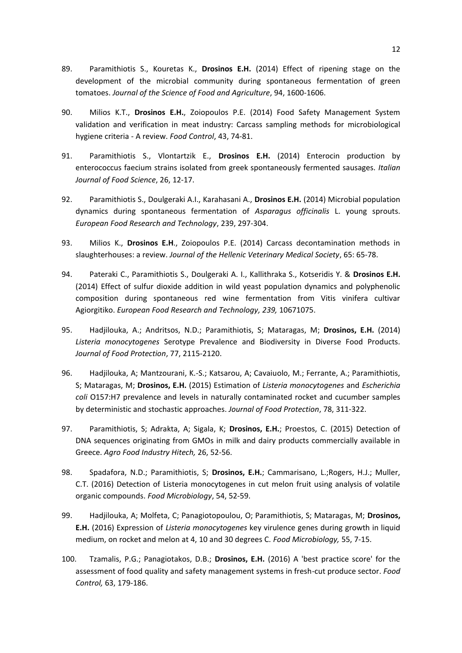- 89. Paramithiotis S., Kouretas K., **Drosinos E.H.** (2014) Effect of ripening stage on the development of the microbial community during spontaneous fermentation of green tomatoes. *Journal of the Science of Food and Agriculture*, 94, 1600-1606.
- 90. Milios K.T., **Drosinos E.H.**, Zoiopoulos P.E. (2014) Food Safety Management System validation and verification in meat industry: Carcass sampling methods for microbiological hygiene criteria - A review. *Food Control*, 43, 74-81.
- 91. Paramithiotis S., Vlontartzik E., **Drosinos E.H.** (2014) Enterocin production by enterococcus faecium strains isolated from greek spontaneously fermented sausages. *Italian Journal of Food Science*, 26, 12-17.
- 92. Paramithiotis S., Doulgeraki A.I., Karahasani A., **Drosinos E.H.** (2014) Microbial population dynamics during spontaneous fermentation of *Asparagus officinalis* L. young sprouts. *European Food Research and Technology*, 239, 297-304.
- 93. Milios K., **Drosinos E.H**., Zoiopoulos P.E. (2014) Carcass decontamination methods in slaughterhouses: a review. *Journal of the Hellenic Veterinary Medical Society*, 65: 65-78.
- 94. Pateraki C., Paramithiotis S., Doulgeraki A. I., Kallithraka S., Kotseridis Y. & **Drosinos E.H.** (2014) Effect of sulfur dioxide addition in wild yeast population dynamics and polyphenolic composition during spontaneous red wine fermentation from Vitis vinifera cultivar Agiorgitiko. *European Food Research and Technology, 239,* 10671075.
- 95. Hadjilouka, A.; Andritsos, N.D.; Paramithiotis, S; Mataragas, M; **Drosinos, E.H.** (2014) *Listeria monocytogenes* Serotype Prevalence and Biodiversity in Diverse Food Products. *Journal of Food Protection*, 77, 2115-2120.
- 96. Hadjilouka, A; Mantzourani, K.-S.; Katsarou, A; Cavaiuolo, M.; Ferrante, A.; Paramithiotis, S; Mataragas, M; **Drosinos, E.H.** (2015) Estimation of *Listeria monocytogenes* and *Escherichia coli* O157:H7 prevalence and levels in naturally contaminated rocket and cucumber samples by deterministic and stochastic approaches. *Journal of Food Protection*, 78, 311-322.
- 97. Paramithiotis, S; Adrakta, A; Sigala, K; **Drosinos, E.H.**; Proestos, C. (2015) Detection of DNA sequences originating from GMOs in milk and dairy products commercially available in Greece. *Agro Food Industry Hitech,* 26, 52-56.
- 98. Spadafora, N.D.; Paramithiotis, S; **Drosinos, E.H.**; Cammarisano, L.;Rogers, H.J.; Muller, C.T. (2016) Detection of Listeria monocytogenes in cut melon fruit using analysis of volatile organic compounds. *Food Microbiology*, 54, 52-59.
- 99. Hadjilouka, A; Molfeta, C; Panagiotopoulou, O; Paramithiotis, S; Mataragas, M; **Drosinos, E.H.** (2016) Expression of *Listeria monocytogenes* key virulence genes during growth in liquid medium, on rocket and melon at 4, 10 and 30 degrees C. *Food Microbiology,* 55, 7-15.
- 100. Tzamalis, P.G.; Panagiotakos, D.B.; **Drosinos, E.H.** (2016) A 'best practice score' for the assessment of food quality and safety management systems in fresh-cut produce sector. *Food Control,* 63, 179-186.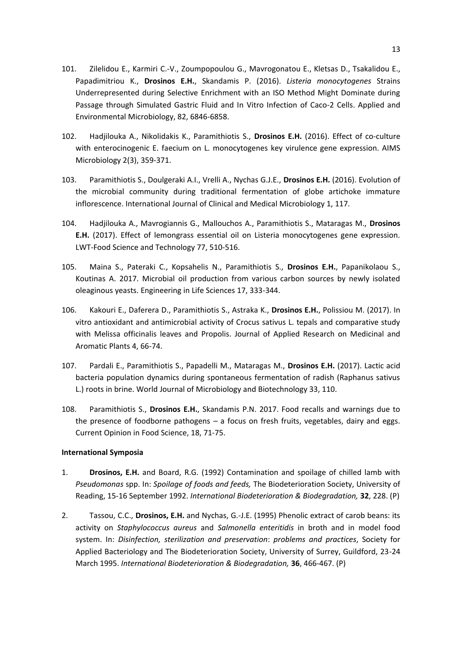- 101. Zilelidou E., Karmiri C.-V., Zoumpopoulou G., Mavrogonatou E., Kletsas D., Tsakalidou E., Papadimitriou K., **Drosinos E.H.**, Skandamis P. (2016). *Listeria monocytogenes* Strains Underrepresented during Selective Enrichment with an ISO Method Might Dominate during Passage through Simulated Gastric Fluid and In Vitro Infection of Caco-2 Cells. Applied and Environmental Microbiology, 82, 6846-6858.
- 102. Hadjilouka A., Nikolidakis K., Paramithiotis S., **Drosinos E.H.** (2016). Effect of co-culture with enterocinogenic E. faecium on L. monocytogenes key virulence gene expression. AIMS Microbiology 2(3), 359-371.
- 103. Paramithiotis S., Doulgeraki A.I., Vrelli A., Nychas G.J.E., **Drosinos E.H.** (2016). Evolution of the microbial community during traditional fermentation of globe artichoke immature inflorescence. International Journal of Clinical and Medical Microbiology 1, 117.
- 104. Hadjilouka A., Mavrogiannis G., Mallouchos A., Paramithiotis S., Mataragas M., **Drosinos E.H.** (2017). Effect of lemongrass essential oil on Listeria monocytogenes gene expression. LWT-Food Science and Technology 77, 510-516.
- 105. Maina S., Pateraki C., Kopsahelis N., Paramithiotis S., **Drosinos E.H.**, Papanikolaou S., Koutinas A. 2017. Microbial oil production from various carbon sources by newly isolated oleaginous yeasts. Engineering in Life Sciences 17, 333-344.
- 106. Kakouri E., Daferera D., Paramithiotis S., Astraka K., **Drosinos E.H.**, Polissiou M. (2017). In vitro antioxidant and antimicrobial activity of Crocus sativus L. tepals and comparative study with Melissa officinalis leaves and Propolis. Journal of Applied Research on Medicinal and Aromatic Plants 4, 66-74.
- 107. Pardali E., Paramithiotis S., Papadelli M., Mataragas M., **Drosinos E.H.** (2017). Lactic acid bacteria population dynamics during spontaneous fermentation of radish (Raphanus sativus L.) roots in brine. World Journal of Microbiology and Biotechnology 33, 110.
- 108. Paramithiotis S., **Drosinos E.H.**, Skandamis P.N. 2017. Food recalls and warnings due to the presence of foodborne pathogens – a focus on fresh fruits, vegetables, dairy and eggs. Current Opinion in Food Science, 18, 71-75.

# **International Symposia**

- 1. **Drosinos, E.H.** and Board, R.G. (1992) Contamination and spoilage of chilled lamb with *Pseudomonas* spp. In: *Spoilage of foods and feeds,* The Biodeterioration Society, University of Reading, 15-16 September 1992. *International Biodeterioration & Biodegradation,* **32**, 228. (P)
- 2. Tassou, C.C., **Drosinos, E.H.** and Nychas, G.-J.E. (1995) Phenolic extract of carob beans: its activity on *Staphylococcus aureus* and *Salmonella enteritidis* in broth and in model food system. In: *Disinfection, sterilization and preservation*: *problems and practices*, Society for Applied Bacteriology and The Biodeterioration Society, University of Surrey, Guildford, 23-24 March 1995. *International Biodeterioration & Biodegradation,* **36**, 466-467. (P)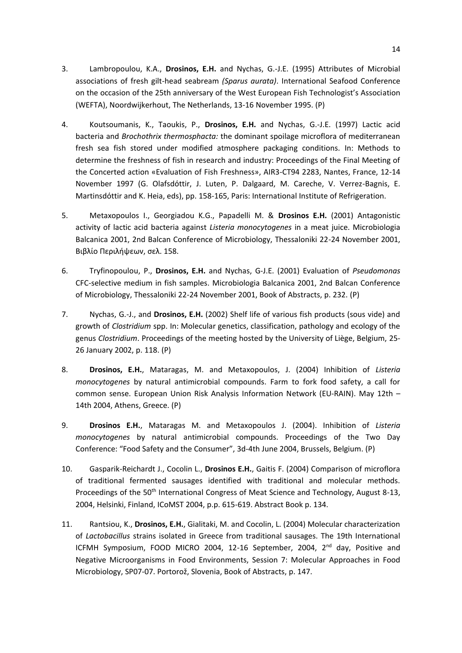- 3. Lambropoulou, K.A., **Drosinos, E.H.** and Nychas, G.-J.E. (1995) Attributes of Microbial associations of fresh gilt-head seabream *(Sparus aurata)*. International Seafood Conference on the occasion of the 25th anniversary of the West European Fish Technologist's Association (WEFTA), Noordwijkerhout, The Netherlands, 13-16 November 1995. (P)
- 4. Koutsoumanis, K., Taoukis, P., **Drosinos, E.H.** and Nychas, G.-J.E. (1997) Lactic acid bacteria and *Brochothrix thermosphacta:* the dominant spoilage microflora of mediterranean fresh sea fish stored under modified atmosphere packaging conditions*.* In: Methods to determine the freshness of fish in research and industry: Proceedings of the Final Meeting of the Concerted action «Evaluation of Fish Freshness», AIR3-CT94 2283, Nantes, France, 12-14 November 1997 (G. Olafsdόttir, J. Luten, P. Dalgaard, M. Careche, V. Verrez-Bagnis, E. Martinsdόttir and K. Heia, eds), pp. 158-165, Paris: International Institute of Refrigeration.
- 5. Metaxopoulos I., Georgiadou K.G., Papadelli M. & **Drosinos E.H.** (2001) Antagonistic activity of lactic acid bacteria against *Listeria monocytogenes* in a meat juice. Microbiologia Balcanica 2001, 2nd Balcan Conference of Microbiology, Thessaloniki 22-24 November 2001, Βιβλίο Περιλήψεων, σελ. 158.
- 6. Tryfinopoulou, P., **Drosinos, E.H.** and Nychas, G-J.E. (2001) Evaluation of *Pseudomonas* CFC-selective medium in fish samples. Microbiologia Balcanica 2001, 2nd Balcan Conference of Microbiology, Thessaloniki 22-24 November 2001, Book of Abstracts, p. 232. (P)
- 7. Nychas, G.-J., and **Drosinos, E.H.** (2002) Shelf life of various fish products (sous vide) and growth of *Clostridium* spp. In: Molecular genetics, classification, pathology and ecology of the genus *Clostridium*. Proceedings of the meeting hosted by the University of Liège, Belgium, 25- 26 January 2002, p. 118. (P)
- 8. **Drosinos, E.H.**, Mataragas, M. and Metaxopoulos, J. (2004) Inhibition of *Listeria monocytogenes* by natural antimicrobial compounds. Farm to fork food safety, a call for common sense. European Union Risk Analysis Information Network (EU-RAIN). May 12th – 14th 2004, Athens, Greece. (P)
- 9. **Drosinos E.H.**, Mataragas M. and Metaxopoulos J. (2004). Inhibition of *Listeria monocytogenes* by natural antimicrobial compounds. Proceedings of the Two Day Conference: "Food Safety and the Consumer", 3d-4th June 2004, Brussels, Belgium. (P)
- 10. Gasparik-Reichardt J., Cocolin L., **Drosinos E.Η.**, Gaitis F. (2004) Comparison of microflora of traditional fermented sausages identified with traditional and molecular methods. Proceedings of the 50<sup>th</sup> International Congress of Meat Science and Technology, August 8-13, 2004, Helsinki, Finland, ICoMST 2004, p.p. 615-619. Abstract Book p. 134.
- 11. Rantsiou, K., **Drosinos, E.H.**, Gialitaki, M. and Cocolin, L. (2004) Molecular characterization of *Lactobacillus* strains isolated in Greece from traditional sausages. The 19th International ICFMH Symposium, FOOD MICRO 2004, 12-16 September, 2004, 2<sup>nd</sup> day, Positive and Negative Microorganisms in Food Environments, Session 7: Molecular Approaches in Food Microbiology, SP07-07. Portorož, Slovenia, Book of Abstracts, p. 147.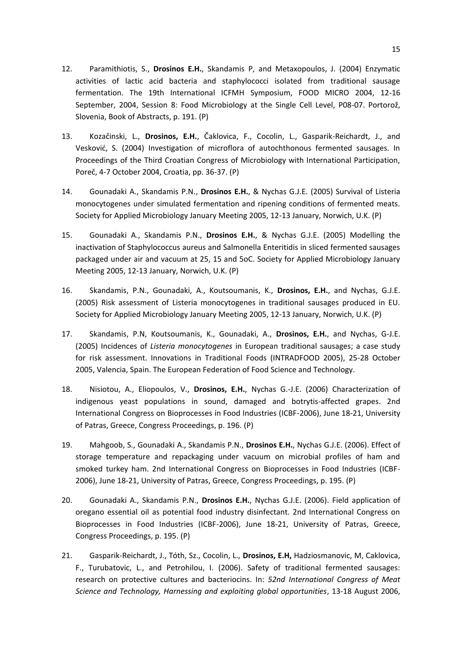- 12. Paramithiotis, S., **Drosinos E.H.**, Skandamis P, and Metaxopoulos, J. (2004) Enzymatic activities of lactic acid bacteria and staphylococci isolated from traditional sausage fermentation. The 19th International ICFMH Symposium, FOOD MICRO 2004, 12-16 September, 2004, Session 8: Food Microbiology at the Single Cell Level, P08-07. Portorož, Slovenia, Book of Abstracts, p. 191. (P)
- 13. Kozačinski, L., **Drosinos, E.Η.**, Čaklovica, F., Cocolin, L., Gasparik-Reichardt, J., and Vesković, S. (2004) Investigation of microflora of autochthonous fermented sausages. In Proceedings of the Third Croatian Congress of Microbiology with International Participation, Poreč, 4-7 October 2004, Croatia, pp. 36-37. (P)
- 14. Gounadaki A., Skandamis P.N., **Drosinos E.H.**, & Nychas G.J.E. (2005) Survival of Listeria monocytogenes under simulated fermentation and ripening conditions of fermented meats. Society for Applied Microbiology January Meeting 2005, 12-13 January, Norwich, U.K. (P)
- 15. Gounadaki A., Skandamis P.N., **Drosinos E.H.**, & Nychas G.J.E. (2005) Modelling the inactivation of Staphylococcus aureus and Salmonella Enteritidis in sliced fermented sausages packaged under air and vacuum at 25, 15 and 5oC. Society for Applied Microbiology January Meeting 2005, 12-13 January, Norwich, U.K. (P)
- 16. Skandamis, P.N., Gounadaki, A., Koutsoumanis, K., **Drosinos, E.H.**, and Nychas, G.J.E. (2005) Risk assessment of Listeria monocytogenes in traditional sausages produced in EU. Society for Applied Microbiology January Meeting 2005, 12-13 January, Norwich, U.K. (P)
- 17. Skandamis, P.N, Koutsoumanis, K., Gounadaki, A., **Drosinos, E.H.**, and Nychas, G-J.E. (2005) Incidences of *Listeria monocytogenes* in European traditional sausages; a case study for risk assessment. Innovations in Traditional Foods (INTRADFOOD 2005), 25-28 October 2005, Valencia, Spain. The European Federation of Food Science and Technology.
- 18. Nisiotou, A., Eliopoulos, V., **Drosinos, E.H.**, Nychas G.-J.E. (2006) Characterization of indigenous yeast populations in sound, damaged and botrytis-affected grapes. 2nd International Congress on Bioprocesses in Food Industries (ICBF-2006), June 18-21, University of Patras, Greece, Congress Proceedings, p. 196. (P)
- 19. Mahgoob, S., Gounadaki A., Skandamis P.N., **Drosinos E.H.**, Nychas G.J.E. (2006). Effect of storage temperature and repackaging under vacuum on microbial profiles of ham and smoked turkey ham. 2nd International Congress on Bioprocesses in Food Industries (ICBF-2006), June 18-21, University of Patras, Greece, Congress Proceedings, p. 195. (P)
- 20. Gounadaki A., Skandamis P.N., **Drosinos E.H.**, Nychas G.J.E. (2006). Field application of oregano essential oil as potential food industry disinfectant. 2nd International Congress on Bioprocesses in Food Industries (ICBF-2006), June 18-21, University of Patras, Greece, Congress Proceedings, p. 195. (P)
- 21. Gasparik-Reichardt, J., Tóth, Sz., Cocolin, L., **Drosinos, E.H,** Hadziosmanovic, M, Caklovica, F., Turubatovic, L., and Petrohilou, I. (2006). Safety of traditional fermented sausages: research on protective cultures and bacteriocins. In: *52nd International Congress of Meat Science and Technology, Harnessing and exploiting global opportunities*, 13-18 August 2006,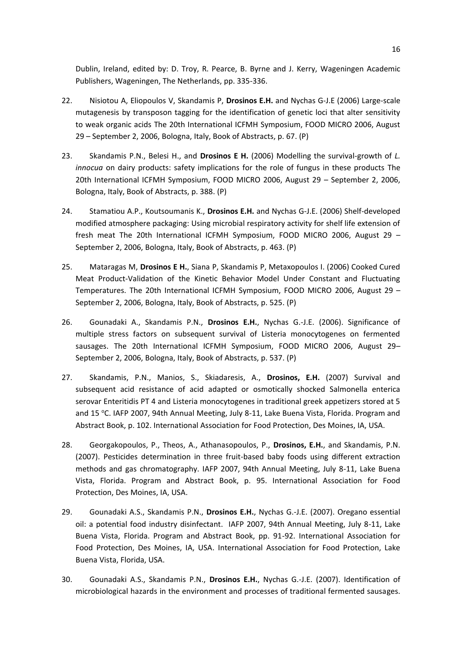Dublin, Ireland, edited by: D. Troy, R. Pearce, B. Byrne and J. Kerry, Wageningen Academic Publishers, Wageningen, The Netherlands, pp. 335-336.

- 22. Nisiotou A, Eliopoulos V, Skandamis P, **Drosinos E.H.** and Nychas G-J.E (2006) Large-scale mutagenesis by transposon tagging for the identification of genetic loci that alter sensitivity to weak organic acids The 20th International ICFMH Symposium, FOOD MICRO 2006, August 29 – September 2, 2006, Bologna, Italy, Book of Abstracts, p. 67. (P)
- 23. Skandamis P.N., Belesi H., and **Drosinos E H.** (2006) Modelling the survival-growth of *L. innocua* on dairy products: safety implications for the role of fungus in these products The 20th International ICFMH Symposium, FOOD MICRO 2006, August 29 – September 2, 2006, Bologna, Italy, Book of Abstracts, p. 388. (P)
- 24. Stamatiou A.P., Koutsoumanis K., **Drosinos E.H.** and Nychas G-J.E. (2006) Shelf-developed modified atmosphere packaging: Using microbial respiratory activity for shelf life extension of fresh meat The 20th International ICFMH Symposium, FOOD MICRO 2006, August 29 – September 2, 2006, Bologna, Italy, Book of Abstracts, p. 463. (P)
- 25. Mataragas M, **Drosinos E H.**, Siana P, Skandamis P, Metaxopoulos I. (2006) Cooked Cured Meat Product-Validation of the Kinetic Behavior Model Under Constant and Fluctuating Temperatures. The 20th International ICFMH Symposium, FOOD MICRO 2006, August 29 – September 2, 2006, Bologna, Italy, Book of Abstracts, p. 525. (P)
- 26. Gounadaki A., Skandamis P.N., **Drosinos E.H.**, Nychas G.-J.E. (2006). Significance of multiple stress factors on subsequent survival of Listeria monocytogenes on fermented sausages. The 20th International ICFMH Symposium, FOOD MICRO 2006, August 29– September 2, 2006, Bologna, Italy, Book of Abstracts, p. 537. (P)
- 27. Skandamis, P.N., Manios, S., Skiadaresis, A., **Drosinos, E.H.** (2007) Survival and subsequent acid resistance of acid adapted or osmotically shocked Salmonella enterica serovar Enteritidis PT 4 and Listeria monocytogenes in traditional greek appetizers stored at 5 and 15 °C. IAFP 2007, 94th Annual Meeting, July 8-11, Lake Buena Vista, Florida. Program and Abstract Book, p. 102. International Association for Food Protection, Des Moines, IA, USA.
- 28. Georgakopoulos, P., Theos, A., Athanasopoulos, P., **Drosinos, E.H.**, and Skandamis, P.N. (2007). Pesticides determination in three fruit-based baby foods using different extraction methods and gas chromatography. IAFP 2007, 94th Annual Meeting, July 8-11, Lake Buena Vista, Florida. Program and Abstract Book, p. 95. International Association for Food Protection, Des Moines, IA, USA.
- 29. Gounadaki A.S., Skandamis P.N., **Drosinos E.H.**, Nychas G.-J.E. (2007). Oregano essential oil: a potential food industry disinfectant. IAFP 2007, 94th Annual Meeting, July 8-11, Lake Buena Vista, Florida. Program and Abstract Book, pp. 91-92. International Association for Food Protection, Des Moines, IA, USA. International Association for Food Protection, Lake Buena Vista, Florida, USA.
- 30. Gounadaki A.S., Skandamis P.N., **Drosinos E.H.**, Nychas G.-J.E. (2007). Identification of microbiological hazards in the environment and processes of traditional fermented sausages.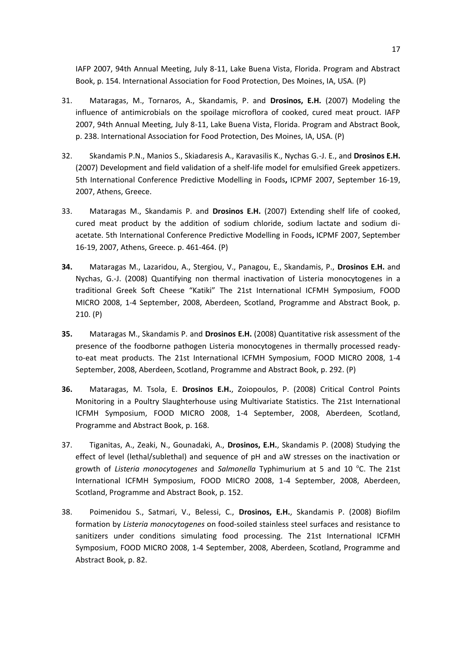IAFP 2007, 94th Annual Meeting, July 8-11, Lake Buena Vista, Florida. Program and Abstract Book, p. 154. International Association for Food Protection, Des Moines, IA, USA. (P)

- 31. Mataragas, M., Tornaros, A., Skandamis, P. and **Drosinos, E.H.** (2007) Modeling the influence of antimicrobials on the spoilage microflora of cooked, cured meat prouct. IAFP 2007, 94th Annual Meeting, July 8-11, Lake Buena Vista, Florida. Program and Abstract Book, p. 238. International Association for Food Protection, Des Moines, IA, USA. (P)
- 32. Skandamis P.N., Manios S., Skiadaresis A., Karavasilis K., Nychas G.-J. E., and **Drosinos E.H.** (2007) Development and field validation of a shelf-life model for emulsified Greek appetizers. 5th International Conference Predictive Modelling in Foods**,** ICPMF 2007, September 16-19, 2007, Athens, Greece.
- 33. Mataragas M., Skandamis P. and **Drosinos E.H.** (2007) Extending shelf life of cooked, cured meat product by the addition of sodium chloride, sodium lactate and sodium diacetate. 5th International Conference Predictive Modelling in Foods**,** ICPMF 2007, September 16-19, 2007, Athens, Greece. p. 461-464. (P)
- **34.** Mataragas M., Lazaridou, A., Stergiou, V., Panagou, E., Skandamis, P., **Drosinos E.H.** and Nychas, G.-J. (2008) Quantifying non thermal inactivation of Listeria monocytogenes in a traditional Greek Soft Cheese "Katiki" The 21st International ICFMH Symposium, FOOD MICRO 2008, 1-4 September, 2008, Aberdeen, Scotland, Programme and Abstract Book, p. 210. (P)
- **35.** Mataragas M., Skandamis P. and **Drosinos E.H.** (2008) Quantitative risk assessment of the presence of the foodborne pathogen Listeria monocytogenes in thermally processed readyto-eat meat products. The 21st International ICFMH Symposium, FOOD MICRO 2008, 1-4 September, 2008, Aberdeen, Scotland, Programme and Abstract Book, p. 292. (P)
- **36.** Mataragas, M. Tsola, E. **Drosinos E.Η.**, Zoiopoulos, P. (2008) Critical Control Points Monitoring in a Poultry Slaughterhouse using Multivariate Statistics. The 21st International ICFMH Symposium, FOOD MICRO 2008, 1-4 September, 2008, Aberdeen, Scotland, Programme and Abstract Book, p. 168.
- 37. Tiganitas, A., Zeaki, N., Gounadaki, A., **Drosinos, E.Η.**, Skandamis P. (2008) Studying the effect of level (lethal/sublethal) and sequence of pH and aW stresses on the inactivation or growth of *Listeria monocytogenes* and *Salmonella* Typhimurium at 5 and 10 °C. The 21st International ICFMH Symposium, FOOD MICRO 2008, 1-4 September, 2008, Aberdeen, Scotland, Programme and Abstract Book, p. 152.
- 38. Poimenidou S., Satmari, V., Belessi, C., **Drosinos, E.Η.**, Skandamis P. (2008) Biofilm formation by *Listeria monocytogenes* on food-soiled stainless steel surfaces and resistance to sanitizers under conditions simulating food processing. The 21st International ICFMH Symposium, FOOD MICRO 2008, 1-4 September, 2008, Aberdeen, Scotland, Programme and Abstract Book, p. 82.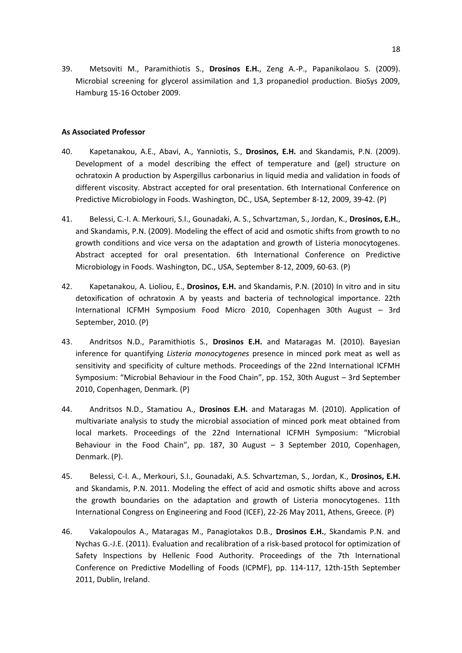39. Metsoviti M., Paramithiotis S., **Drosinos E.H.**, Zeng A.-P., Papanikolaou S. (2009). Microbial screening for glycerol assimilation and 1,3 propanediol production. BioSys 2009, Hamburg 15-16 October 2009.

# **As Associated Professor**

- 40. Kapetanakou, A.E., Abavi, A., Yanniotis, S., **Drosinos, E.H.** and Skandamis, P.N. (2009). Development of a model describing the effect of temperature and (gel) structure on ochratoxin A production by Aspergillus carbonarius in liquid media and validation in foods of different viscosity. Abstract accepted for oral presentation. 6th International Conference on Predictive Microbiology in Foods. Washington, DC., USA, September 8-12, 2009, 39-42. (P)
- 41. Belessi, C.-I. A. Merkouri, S.I., Gounadaki, A. S., Schvartzman, S., Jordan, K., **Drosinos, E.H.**, and Skandamis, P.N. (2009). Modeling the effect of acid and osmotic shifts from growth to no growth conditions and vice versa on the adaptation and growth of Listeria monocytogenes. Abstract accepted for oral presentation. 6th International Conference on Predictive Microbiology in Foods. Washington, DC., USA, September 8-12, 2009, 60-63. (P)
- 42. Kapetanakou, A. Lioliou, E., **Drosinos, E.H.** and Skandamis, P.N. (2010) In vitro and in situ detoxification of ochratoxin A by yeasts and bacteria of technological importance. 22th International ICFMH Symposium Food Micro 2010, Copenhagen 30th August – 3rd September, 2010. (P)
- 43. Andritsos N.D., Paramithiotis S., **Drosinos E.H.** and Mataragas M. (2010). Bayesian inference for quantifying *Listeria monocytogenes* presence in minced pork meat as well as sensitivity and specificity of culture methods. Proceedings of the 22nd International ICFMH Symposium: "Microbial Behaviour in the Food Chain", pp. 152, 30th August – 3rd September 2010, Copenhagen, Denmark. (P)
- 44. Andritsos N.D., Stamatiou A., **Drosinos E.H.** and Mataragas M. (2010). Application of multivariate analysis to study the microbial association of minced pork meat obtained from local markets. Proceedings of the 22nd International ICFMH Symposium: "Microbial Behaviour in the Food Chain", pp. 187, 30 August – 3 September 2010, Copenhagen, Denmark. (P).
- 45. Belessi, C-I. A., Merkouri, S.I., Gounadaki, A.S. Schvartzman, S., Jordan, K., **Drosinos, E.H.** and Skandamis, P.N. 2011. Modeling the effect of acid and osmotic shifts above and across the growth boundaries on the adaptation and growth of Listeria monocytogenes. 11th International Congress on Engineering and Food (ICEF), 22-26 May 2011, Athens, Greece. (P)
- 46. Vakalopoulos A., Mataragas M., Panagiotakos D.B., **Drosinos E.H.**, Skandamis P.N. and Nychas G.-J.E. (2011). Evaluation and recalibration of a risk-based protocol for optimization of Safety Inspections by Hellenic Food Authority. Proceedings of the 7th International Conference on Predictive Modelling of Foods (ICPMF), pp. 114-117, 12th-15th September 2011, Dublin, Ireland.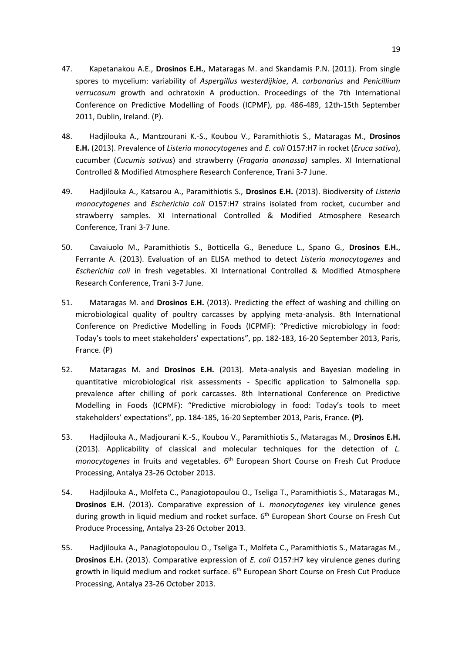- 47. Kapetanakou A.E., **Drosinos E.H.**, Mataragas M. and Skandamis P.N. (2011). From single spores to mycelium: variability of *Aspergillus westerdijkiae*, *A. carbonarius* and *Penicillium verrucosum* growth and ochratoxin A production. Proceedings of the 7th International Conference on Predictive Modelling of Foods (ICPMF), pp. 486-489, 12th-15th September 2011, Dublin, Ireland. (P).
- 48. Hadjilouka A., Mantzourani K.-S., Koubou V., Paramithiotis S., Mataragas M., **Drosinos E.H.** (2013). Prevalence of *Listeria monocytogenes* and *E. coli* O157:H7 in rocket (*Eruca sativa*), cucumber (*Cucumis sativus*) and strawberry (*Fragaria ananassa)* samples. XI International Controlled & Modified Atmosphere Research Conference, Trani 3-7 June.
- 49. Hadjilouka A., Katsarou A., Paramithiotis S., **Drosinos E.H.** (2013). Biodiversity of *Listeria monocytogenes* and *Escherichia coli* O157:H7 strains isolated from rocket, cucumber and strawberry samples. XI International Controlled & Modified Atmosphere Research Conference, Trani 3-7 June.
- 50. Cavaiuolo M., Paramithiotis S., Botticella G., Beneduce L., Spano G., **Drosinos E.H.**, Ferrante A. (2013). Evaluation of an ELISA method to detect *Listeria monocytogenes* and *Escherichia coli* in fresh vegetables. XI International Controlled & Modified Atmosphere Research Conference, Trani 3-7 June.
- 51. Mataragas M. and **Drosinos E.H.** (2013). Predicting the effect of washing and chilling on microbiological quality of poultry carcasses by applying meta-analysis. 8th International Conference on Predictive Modelling in Foods (ICPMF): "Predictive microbiology in food: Today's tools to meet stakeholders' expectations", pp. 182-183, 16-20 September 2013, Paris, France. (P)
- 52. Mataragas M. and **Drosinos E.H.** (2013). Meta-analysis and Bayesian modeling in quantitative microbiological risk assessments - Specific application to Salmonella spp. prevalence after chilling of pork carcasses. 8th International Conference on Predictive Modelling in Foods (ICPMF): "Predictive microbiology in food: Today's tools to meet stakeholders' expectations", pp. 184-185, 16-20 September 2013, Paris, France. **(P)**.
- 53. Hadjilouka A., Madjourani K.-S., Koubou V., Paramithiotis S., Mataragas M., **Drosinos E.H.** (2013). Applicability of classical and molecular techniques for the detection of *L.*  monocytogenes in fruits and vegetables. 6<sup>th</sup> European Short Course on Fresh Cut Produce Processing, Antalya 23-26 October 2013.
- 54. Hadjilouka A., Molfeta C., Panagiotopoulou O., Tseliga T., Paramithiotis S., Mataragas M., **Drosinos E.H.** (2013). Comparative expression of *L. monocytogenes* key virulence genes during growth in liquid medium and rocket surface. 6<sup>th</sup> European Short Course on Fresh Cut Produce Processing, Antalya 23-26 October 2013.
- 55. Hadjilouka A., Panagiotopoulou O., Tseliga T., Molfeta C., Paramithiotis S., Mataragas M., **Drosinos E.H.** (2013). Comparative expression of *E. coli* O157:H7 key virulence genes during growth in liquid medium and rocket surface. 6<sup>th</sup> European Short Course on Fresh Cut Produce Processing, Antalya 23-26 October 2013.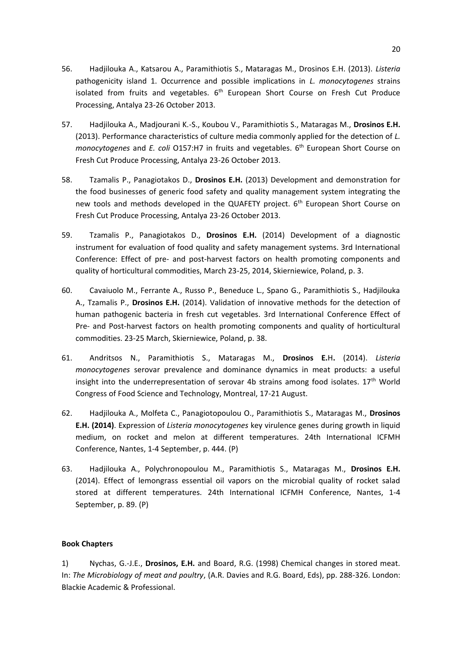- 56. Hadjilouka A., Katsarou A., Paramithiotis S., Mataragas M., Drosinos E.H. (2013). *Listeria*  pathogenicity island 1. Occurrence and possible implications in *L. monocytogenes* strains isolated from fruits and vegetables. 6<sup>th</sup> European Short Course on Fresh Cut Produce Processing, Antalya 23-26 October 2013.
- 57. Hadjilouka A., Madjourani K.-S., Koubou V., Paramithiotis S., Mataragas M., **Drosinos E.H.** (2013). Performance characteristics of culture media commonly applied for the detection of *L. monocytogenes* and *E. coli* O157:H7 in fruits and vegetables. 6 th European Short Course on Fresh Cut Produce Processing, Antalya 23-26 October 2013.
- 58. Tzamalis P., Panagiotakos D., **Drosinos E.H.** (2013) Development and demonstration for the food businesses of generic food safety and quality management system integrating the new tools and methods developed in the QUAFETY project. 6<sup>th</sup> European Short Course on Fresh Cut Produce Processing, Antalya 23-26 October 2013.
- 59. Tzamalis P., Panagiotakos D., **Drosinos E.H.** (2014) Development of a diagnostic instrument for evaluation of food quality and safety management systems. 3rd International Conference: Effect of pre- and post-harvest factors on health promoting components and quality of horticultural commodities, March 23-25, 2014, Skierniewice, Poland, p. 3.
- 60. Cavaiuolo M., Ferrante A., Russo P., Beneduce L., Spano G., Paramithiotis S., Hadjilouka A., Tzamalis P., **Drosinos E.H.** (2014). Validation of innovative methods for the detection of human pathogenic bacteria in fresh cut vegetables. 3rd International Conference Effect of Pre- and Post-harvest factors on health promoting components and quality of horticultural commodities. 23-25 March, Skierniewice, Poland, p. 38.
- 61. Andritsos N., Paramithiotis S., Mataragas M., **Drosinos E.**H**.** (2014). *Listeria monocytogenes* serovar prevalence and dominance dynamics in meat products: a useful insight into the underrepresentation of serovar 4b strains among food isolates.  $17<sup>th</sup>$  World Congress of Food Science and Technology, Montreal, 17-21 August.
- 62. Hadjilouka A., Molfeta C., Panagiotopoulou O., Paramithiotis S., Mataragas M., **Drosinos E.H. (2014)**. Expression of *Listeria monocytogenes* key virulence genes during growth in liquid medium, on rocket and melon at different temperatures. 24th International ICFMH Conference, Nantes, 1-4 September, p. 444. (P)
- 63. Hadjilouka A., Polychronopoulou M., Paramithiotis S., Mataragas M., **Drosinos E.H.** (2014). Effect of lemongrass essential oil vapors on the microbial quality of rocket salad stored at different temperatures. 24th International ICFMH Conference, Nantes, 1-4 September, p. 89. (P)

# **Book Chapters**

1) Nychas, G.-J.E., **Drosinos, E.H.** and Board, R.G. (1998) Chemical changes in stored meat. In: *The Microbiology of meat and poultry*, (A.R. Davies and R.G. Board, Eds), pp. 288-326. London: Blackie Academic & Professional.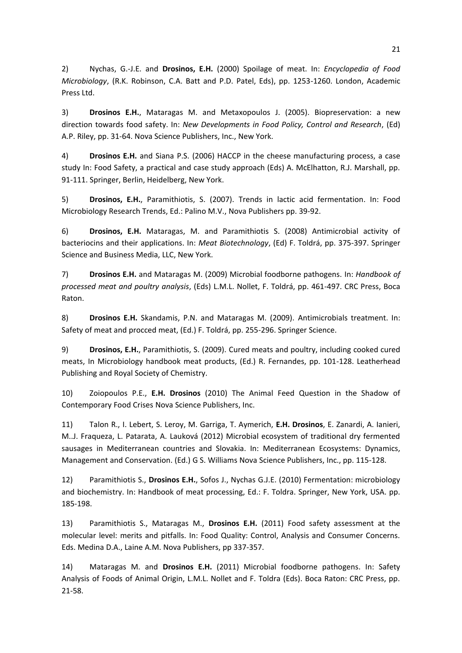2) Nychas, G.-J.E. and **Drosinos, E.H.** (2000) Spoilage of meat. In: *Encyclopedia of Food Microbiology*, (R.K. Robinson, C.A. Batt and P.D. Patel, Eds), pp. 1253-1260. London, Academic Press Ltd.

3) **Drosinos E.H.**, Mataragas M. and Metaxopoulos J. (2005). Biopreservation: a new direction towards food safety. In: *New Developments in Food Policy, Control and Research*, (Ed) A.P. Riley, pp. 31-64. Nova Science Publishers, Inc., New York.

4) **Drosinos E.H.** and Siana P.S. (2006) HACCP in the cheese manufacturing process, a case study In: Food Safety, a practical and case study approach (Eds) A. McElhatton, R.J. Marshall, pp. 91-111. Springer, Berlin, Heidelberg, New York.

5) **Drosinos, E.H.**, Paramithiotis, S. (2007). Trends in lactic acid fermentation. In: Food Microbiology Research Trends, Ed.: Palino M.V., Nova Publishers pp. 39-92.

6) **Drosinos, E.H.** Mataragas, M. and Paramithiotis S. (2008) Antimicrobial activity of bacteriocins and their applications. In: *Meat Biotechnology*, (Ed) F. Toldrá, pp. 375-397. Springer Science and Business Media, LLC, New York.

7) **Drosinos E.H.** and Mataragas M. (2009) Microbial foodborne pathogens. In: *Handbook of processed meat and poultry analysis*, (Eds) L.M.L. Nollet, F. Toldrá, pp. 461-497. CRC Press, Boca Raton.

8) **Drosinos E.H.** Skandamis, P.N. and Mataragas M. (2009). Antimicrobials treatment. In: Safety of meat and procced meat, (Ed.) F. Toldrá, pp. 255-296. Springer Science.

9) **Drosinos, E.H.**, Paramithiotis, S. (2009). Cured meats and poultry, including cooked cured meats, In Microbiology handbook meat products, (Ed.) R. Fernandes, pp. 101-128. Leatherhead Publishing and Royal Society of Chemistry.

10) Zoiopoulos P.E., **E.H. Drosinos** (2010) The Animal Feed Question in the Shadow of Contemporary Food Crises Nova Science Publishers, Inc.

11) Talon R., I. Lebert, S. Leroy, M. Garriga, T. Aymerich, **E.H. Drosinos**, E. Zanardi, A. Ianieri, M..J. Fraqueza, L. Patarata, A. Lauková (2012) Microbial ecosystem of traditional dry fermented sausages in Mediterranean countries and Slovakia. In: Mediterranean Ecosystems: Dynamics, Management and Conservation. (Ed.) G S. Williams Nova Science Publishers, Inc., pp. 115-128.

12) Paramithiotis S., **Drosinos E.H.**, Sofos J., Nychas G.J.E. (2010) Fermentation: microbiology and biochemistry. In: Handbook of meat processing, Ed.: F. Toldra. Springer, New York, USA. pp. 185-198.

13) Paramithiotis S., Mataragas M., **Drosinos E.H.** (2011) Food safety assessment at the molecular level: merits and pitfalls. In: Food Quality: Control, Analysis and Consumer Concerns. Eds. Medina D.A., Laine A.M. Nova Publishers, pp 337-357.

14) Mataragas M. and **Drosinos E.H.** (2011) Microbial foodborne pathogens. In: Safety Analysis of Foods of Animal Origin, L.M.L. Nollet and F. Toldra (Eds). Boca Raton: CRC Press, pp. 21-58.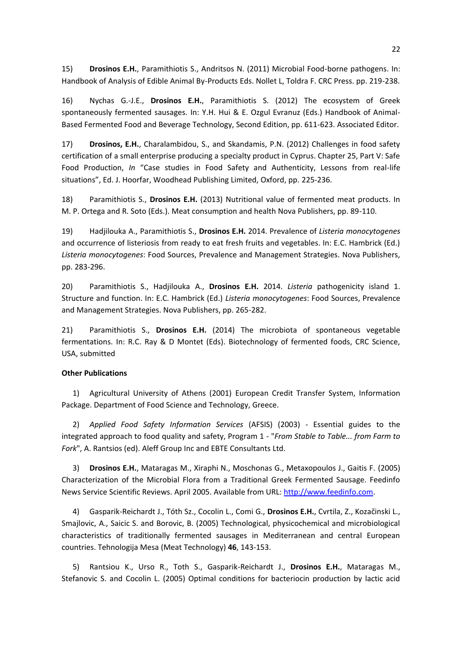15) **Drosinos E.H.**, Paramithiotis S., Andritsos N. (2011) Microbial Food-borne pathogens. In: Handbook of Analysis of Edible Animal By-Products Eds. Nollet L, Toldra F. CRC Press. pp. 219-238.

16) Nychas G.-J.E., **Drosinos E.H.**, Paramithiotis S. (2012) The ecosystem of Greek spontaneously fermented sausages. In: Y.H. Hui & E. Ozgul Evranuz (Eds.) Handbook of Animal-Based Fermented Food and Beverage Technology, Second Edition, pp. 611-623. Associated Editor.

17) **Drosinos, E.H.**, Charalambidou, S., and Skandamis, P.N. (2012) Challenges in food safety certification of a small enterprise producing a specialty product in Cyprus. Chapter 25, Part V: Safe Food Production, *In* "Case studies in Food Safety and Authenticity, Lessons from real-life situations", Ed. J. Hoorfar, Woodhead Publishing Limited, Oxford, pp. 225-236.

18) Paramithiotis S., **Drosinos E.H.** (2013) Nutritional value of fermented meat products. In M. P. Ortega and R. Soto (Eds.). Meat consumption and health Nova Publishers, pp. 89-110.

19) Hadjilouka A., Paramithiotis S., **Drosinos E.H.** 2014. Prevalence of *Listeria monocytogenes* and occurrence of listeriosis from ready to eat fresh fruits and vegetables. In: E.C. Hambrick (Ed.) *Listeria monocytogenes*: Food Sources, Prevalence and Management Strategies. Nova Publishers, pp. 283-296.

20) Paramithiotis S., Hadjilouka A., **Drosinos E.H.** 2014. *Listeria* pathogenicity island 1. Structure and function. In: E.C. Hambrick (Ed.) *Listeria monocytogenes*: Food Sources, Prevalence and Management Strategies. Nova Publishers, pp. 265-282.

21) Paramithiotis S., **Drosinos E.H.** (2014) The microbiota of spontaneous vegetable fermentations. In: R.C. Ray & D Montet (Eds). Biotechnology of fermented foods, CRC Science, USA, submitted

# **Other Publications**

1) Agricultural University of Athens (2001) European Credit Transfer System, Information Package. Department of Food Science and Technology, Greece.

2) *Applied Food Safety Information Services* (AFSIS) (2003) - Essential guides to the integrated approach to food quality and safety, Program 1 - "*From Stable to Table... from Farm to Fork*", A. Rantsios (ed). Aleff Group Inc and EBTE Consultants Ltd.

3) **Drosinos E.H.**, Mataragas M., Xiraphi N., Moschonas G., Metaxopoulos J., Gaitis F. (2005) Characterization of the Microbial Flora from a Traditional Greek Fermented Sausage. Feedinfo News Service Scientific Reviews. April 2005. Available from URL[: http://www.feedinfo.com.](http://www.feedinfo.com/)

4) Gasparik-Reichardt J., Tóth Sz., Cocolin L., Comi G., **Drosinos E.H.**, Cvrtila, Z., Kozačinski L., Smajlovic, A., Saicic S. and Borovic, B. (2005) Technological, physicochemical and microbiological characteristics of traditionally fermented sausages in Mediterranean and central European countries. Tehnologija Mesa (Meat Technology) **46**, 143-153.

5) Rantsiou K., Urso R., Toth S., Gasparik-Reichardt J., **Drosinos E.H.**, Mataragas M., Stefanovic S. and Cocolin L. (2005) Optimal conditions for bacteriocin production by lactic acid